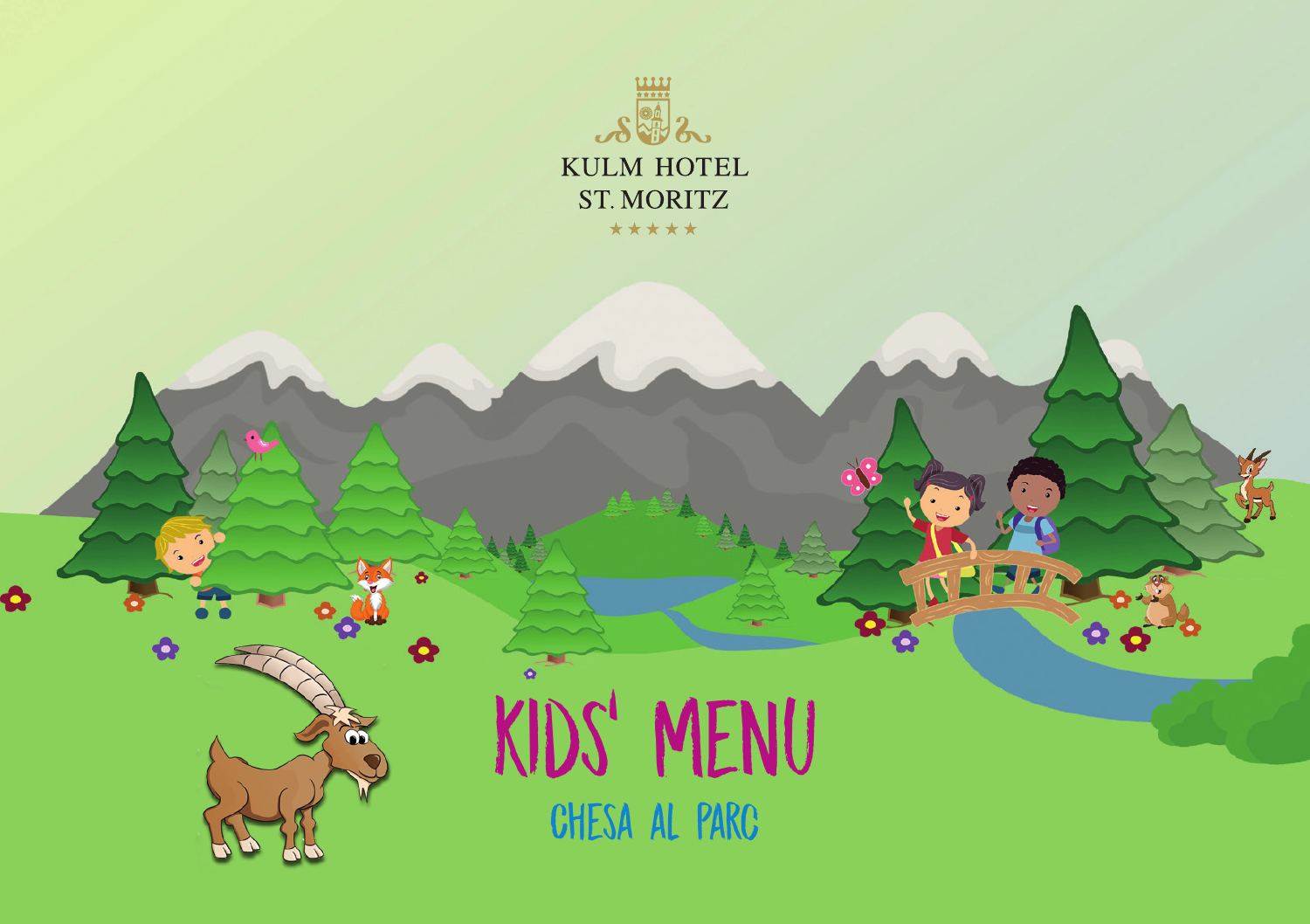